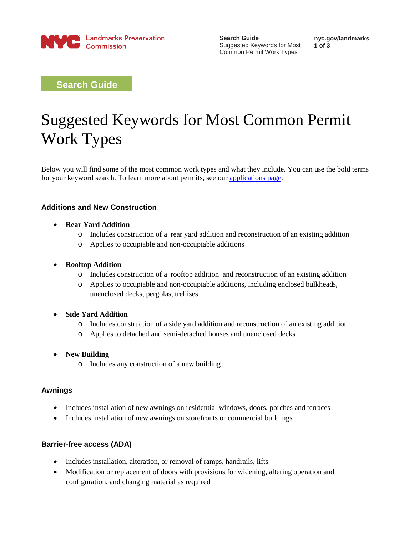

**Search Guide** Suggested Keywords for Most Common Permit Work Types

**nyc.gov/landmarks 1 of 3**

**Search Guide**

# Suggested Keywords for Most Common Permit Work Types

Below you will find some of the most common work types and what they include. You can use the bold terms for your keyword search. To learn more about permits, see our [applications page.](https://nyc-csg-web.csc.nycnet/site/lpc/applications/applications.page)

# **Additions and New Construction**

## • **Rear Yard Addition**

- o Includes construction of a rear yard addition and reconstruction of an existing addition
- o Applies to occupiable and non-occupiable additions

## • **Rooftop Addition**

- o Includes construction of a rooftop addition and reconstruction of an existing addition
- o Applies to occupiable and non-occupiable additions, including enclosed bulkheads, unenclosed decks, pergolas, trellises

#### • **Side Yard Addition**

- o Includes construction of a side yard addition and reconstruction of an existing addition
- o Applies to detached and semi-detached houses and unenclosed decks

# • **New Building**

o Includes any construction of a new building

# **Awnings**

- Includes installation of new awnings on residential windows, doors, porches and terraces
- Includes installation of new awnings on storefronts or commercial buildings

# **Barrier-free access (ADA)**

- Includes installation, alteration, or removal of ramps, handrails, lifts
- Modification or replacement of doors with provisions for widening, altering operation and configuration, and changing material as required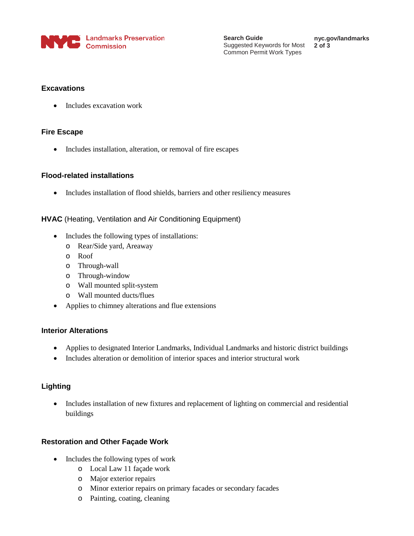

**Search Guide** Suggested Keywords for Most Common Permit Work Types

**nyc.gov/landmarks 2 of 3**

# **Excavations**

• Includes excavation work

# **Fire Escape**

• Includes installation, alteration, or removal of fire escapes

# **Flood-related installations**

• Includes installation of flood shields, barriers and other resiliency measures

# **HVAC** (Heating, Ventilation and Air Conditioning Equipment)

- Includes the following types of installations:
	- o Rear/Side yard, Areaway
	- o Roof
	- o Through-wall
	- o Through-window
	- o Wall mounted split-system
	- o Wall mounted ducts/flues
- Applies to chimney alterations and flue extensions

# **Interior Alterations**

- Applies to designated Interior Landmarks, Individual Landmarks and historic district buildings
- Includes alteration or demolition of interior spaces and interior structural work

# **Lighting**

• Includes installation of new fixtures and replacement of lighting on commercial and residential buildings

# **Restoration and Other Façade Work**

- Includes the following types of work
	- o Local Law 11 façade work
	- o Major exterior repairs
	- o Minor exterior repairs on primary facades or secondary facades
	- o Painting, coating, cleaning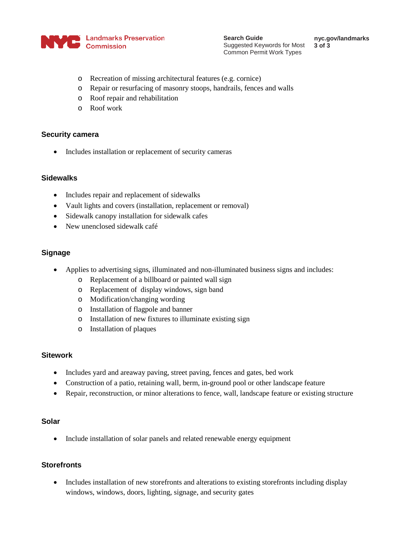

**nyc.gov/landmarks 3 of 3**

- o Recreation of missing architectural features (e.g. cornice)
- o Repair or resurfacing of masonry stoops, handrails, fences and walls
- o Roof repair and rehabilitation
- o Roof work

#### **Security camera**

• Includes installation or replacement of security cameras

## **Sidewalks**

- Includes repair and replacement of sidewalks
- Vault lights and covers (installation, replacement or removal)
- Sidewalk canopy installation for sidewalk cafes
- New unenclosed sidewalk café

# **Signage**

- Applies to advertising signs, illuminated and non-illuminated business signs and includes:
	- o Replacement of a billboard or painted wall sign
	- o Replacement of display windows, sign band
	- o Modification/changing wording
	- o Installation of flagpole and banner
	- o Installation of new fixtures to illuminate existing sign
	- o Installation of plaques

#### **Sitework**

- Includes yard and areaway paving, street paving, fences and gates, bed work
- Construction of a patio, retaining wall, berm, in-ground pool or other landscape feature
- Repair, reconstruction, or minor alterations to fence, wall, landscape feature or existing structure

# **Solar**

• Include installation of solar panels and related renewable energy equipment

# **Storefronts**

• Includes installation of new storefronts and alterations to existing storefronts including display windows, windows, doors, lighting, signage, and security gates